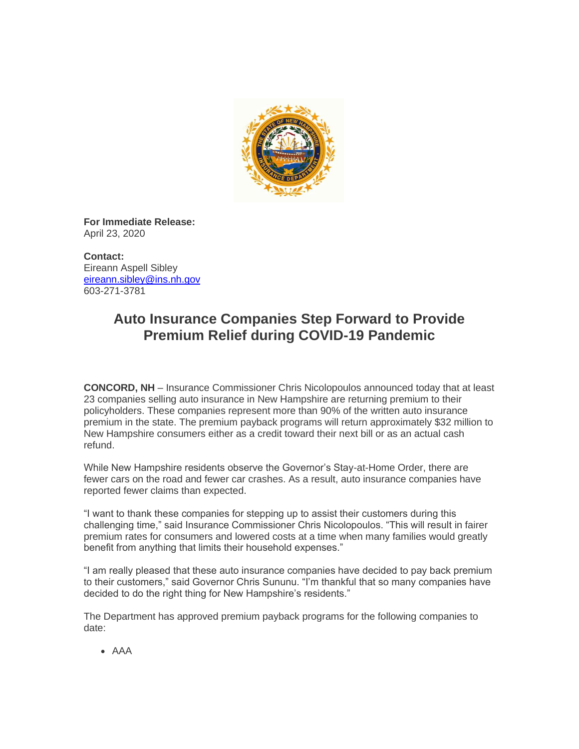

**For Immediate Release:** April 23, 2020

**Contact:** Eireann Aspell Sibley [eireann.sibley@ins.nh.gov](mailto:eireann.sibley@ins.nh.gov) 603-271-3781

## **Auto Insurance Companies Step Forward to Provide Premium Relief during COVID-19 Pandemic**

**CONCORD, NH** – Insurance Commissioner Chris Nicolopoulos announced today that at least 23 companies selling auto insurance in New Hampshire are returning premium to their policyholders. These companies represent more than 90% of the written auto insurance premium in the state. The premium payback programs will return approximately \$32 million to New Hampshire consumers either as a credit toward their next bill or as an actual cash refund.

While New Hampshire residents observe the Governor's Stay-at-Home Order, there are fewer cars on the road and fewer car crashes. As a result, auto insurance companies have reported fewer claims than expected.

"I want to thank these companies for stepping up to assist their customers during this challenging time," said Insurance Commissioner Chris Nicolopoulos. "This will result in fairer premium rates for consumers and lowered costs at a time when many families would greatly benefit from anything that limits their household expenses."

"I am really pleased that these auto insurance companies have decided to pay back premium to their customers," said Governor Chris Sununu. "I'm thankful that so many companies have decided to do the right thing for New Hampshire's residents."

The Department has approved premium payback programs for the following companies to date:

• AAA